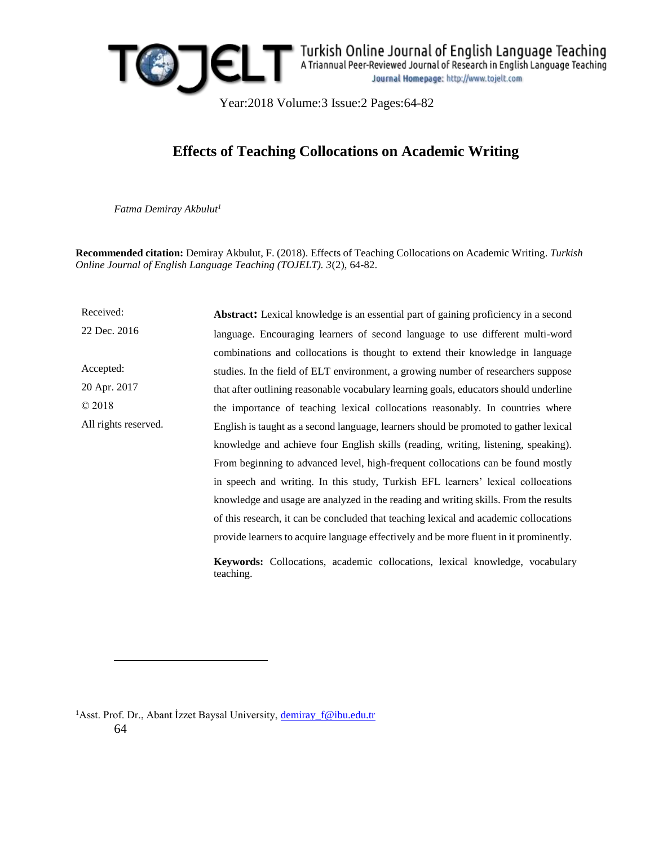

Year:2018 Volume:3 Issue:2 Pages:64-82

# **Effects of Teaching Collocations on Academic Writing**

*Fatma Demiray Akbulut<sup>1</sup>*

**Recommended citation:** Demiray Akbulut, F. (2018). Effects of Teaching Collocations on Academic Writing. *Turkish Online Journal of English Language Teaching (TOJELT). 3*(2), 64-82.

Received: 22 Dec. 2016 Accepted: 20 Apr. 2017 © 2018 All rights reserved. **Abstract:** Lexical knowledge is an essential part of gaining proficiency in a second language. Encouraging learners of second language to use different multi-word combinations and collocations is thought to extend their knowledge in language studies. In the field of ELT environment, a growing number of researchers suppose that after outlining reasonable vocabulary learning goals, educators should underline the importance of teaching lexical collocations reasonably. In countries where English is taught as a second language, learners should be promoted to gather lexical knowledge and achieve four English skills (reading, writing, listening, speaking). From beginning to advanced level, high-frequent collocations can be found mostly in speech and writing. In this study, Turkish EFL learners' lexical collocations knowledge and usage are analyzed in the reading and writing skills. From the results of this research, it can be concluded that teaching lexical and academic collocations provide learners to acquire language effectively and be more fluent in it prominently.

**Keywords:** Collocations, academic collocations, lexical knowledge, vocabulary teaching.

64 <sup>1</sup>Asst. Prof. Dr., Abant İzzet Baysal University, [demiray\\_f@ibu.edu.tr](mailto:demiray_f@ibu.edu.tr)

 $\overline{a}$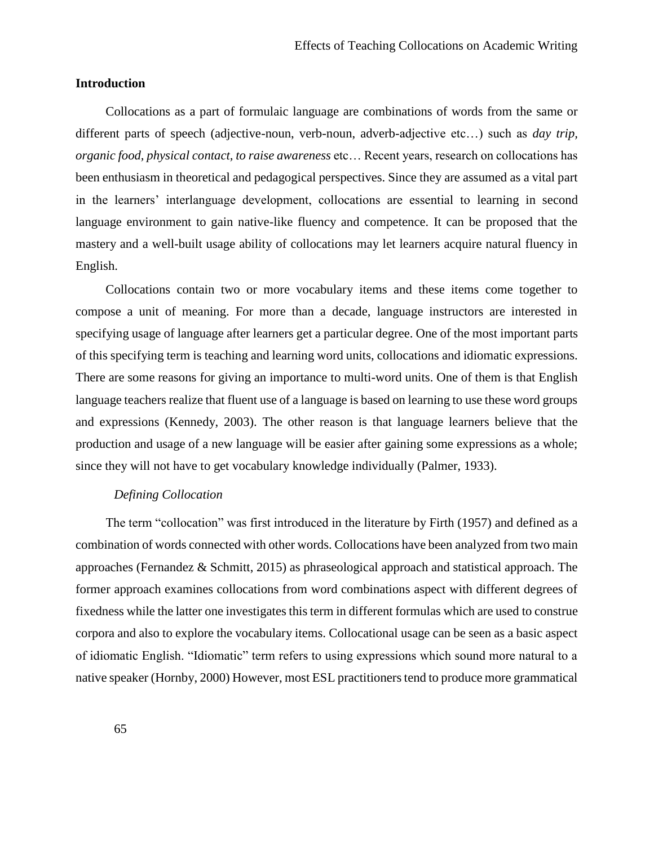# **Introduction**

Collocations as a part of formulaic language are combinations of words from the same or different parts of speech (adjective-noun, verb-noun, adverb-adjective etc…) such as *day trip, organic food, physical contact, to raise awareness* etc… Recent years, research on collocations has been enthusiasm in theoretical and pedagogical perspectives. Since they are assumed as a vital part in the learners' interlanguage development, collocations are essential to learning in second language environment to gain native-like fluency and competence. It can be proposed that the mastery and a well-built usage ability of collocations may let learners acquire natural fluency in English.

Collocations contain two or more vocabulary items and these items come together to compose a unit of meaning. For more than a decade, language instructors are interested in specifying usage of language after learners get a particular degree. One of the most important parts of this specifying term is teaching and learning word units, collocations and idiomatic expressions. There are some reasons for giving an importance to multi-word units. One of them is that English language teachers realize that fluent use of a language is based on learning to use these word groups and expressions (Kennedy, 2003). The other reason is that language learners believe that the production and usage of a new language will be easier after gaining some expressions as a whole; since they will not have to get vocabulary knowledge individually (Palmer, 1933).

### *Defining Collocation*

The term "collocation" was first introduced in the literature by Firth (1957) and defined as a combination of words connected with other words. Collocations have been analyzed from two main approaches (Fernandez & Schmitt, 2015) as phraseological approach and statistical approach. The former approach examines collocations from word combinations aspect with different degrees of fixedness while the latter one investigates this term in different formulas which are used to construe corpora and also to explore the vocabulary items. Collocational usage can be seen as a basic aspect of idiomatic English. "Idiomatic" term refers to using expressions which sound more natural to a native speaker (Hornby, 2000) However, most ESL practitioners tend to produce more grammatical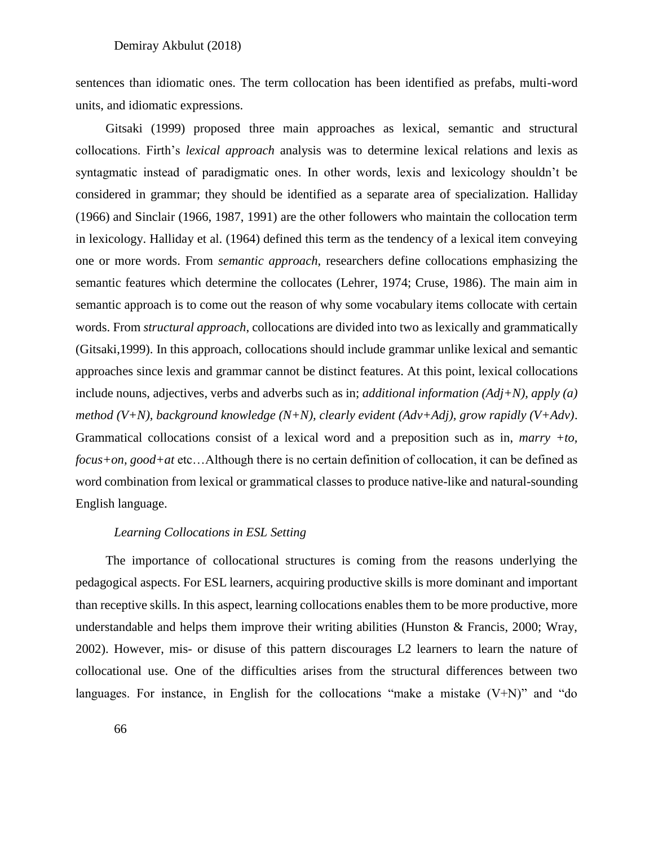sentences than idiomatic ones. The term collocation has been identified as prefabs, multi-word units, and idiomatic expressions.

Gitsaki (1999) proposed three main approaches as lexical, semantic and structural collocations. Firth's *lexical approach* analysis was to determine lexical relations and lexis as syntagmatic instead of paradigmatic ones. In other words, lexis and lexicology shouldn't be considered in grammar; they should be identified as a separate area of specialization. Halliday (1966) and Sinclair (1966, 1987, 1991) are the other followers who maintain the collocation term in lexicology. Halliday et al. (1964) defined this term as the tendency of a lexical item conveying one or more words. From *semantic approach*, researchers define collocations emphasizing the semantic features which determine the collocates (Lehrer, 1974; Cruse, 1986). The main aim in semantic approach is to come out the reason of why some vocabulary items collocate with certain words. From *structural approach*, collocations are divided into two as lexically and grammatically (Gitsaki,1999). In this approach, collocations should include grammar unlike lexical and semantic approaches since lexis and grammar cannot be distinct features. At this point, lexical collocations include nouns, adjectives, verbs and adverbs such as in; *additional information (Adj+N), apply (a) method (V+N), background knowledge (N+N), clearly evident (Adv+Adj), grow rapidly (V+Adv)*. Grammatical collocations consist of a lexical word and a preposition such as in, *marry +to, focus+on, good+at* etc…Although there is no certain definition of collocation, it can be defined as word combination from lexical or grammatical classes to produce native-like and natural-sounding English language.

### *Learning Collocations in ESL Setting*

The importance of collocational structures is coming from the reasons underlying the pedagogical aspects. For ESL learners, acquiring productive skills is more dominant and important than receptive skills. In this aspect, learning collocations enables them to be more productive, more understandable and helps them improve their writing abilities (Hunston  $\&$  Francis, 2000; Wray, 2002). However, mis- or disuse of this pattern discourages L2 learners to learn the nature of collocational use. One of the difficulties arises from the structural differences between two languages. For instance, in English for the collocations "make a mistake  $(V+N)$ " and "do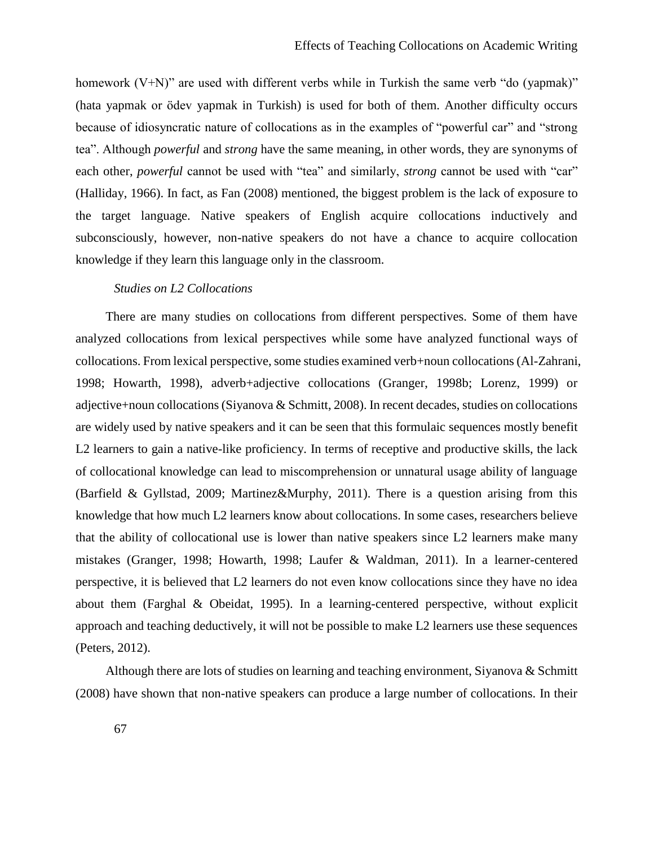homework (V+N)" are used with different verbs while in Turkish the same verb "do (yapmak)" (hata yapmak or ödev yapmak in Turkish) is used for both of them. Another difficulty occurs because of idiosyncratic nature of collocations as in the examples of "powerful car" and "strong tea". Although *powerful* and *strong* have the same meaning, in other words, they are synonyms of each other, *powerful* cannot be used with "tea" and similarly, *strong* cannot be used with "car" (Halliday, 1966). In fact, as Fan (2008) mentioned, the biggest problem is the lack of exposure to the target language. Native speakers of English acquire collocations inductively and subconsciously, however, non-native speakers do not have a chance to acquire collocation knowledge if they learn this language only in the classroom.

### *Studies on L2 Collocations*

There are many studies on collocations from different perspectives. Some of them have analyzed collocations from lexical perspectives while some have analyzed functional ways of collocations. From lexical perspective, some studies examined verb+noun collocations (Al-Zahrani, 1998; Howarth, 1998), adverb+adjective collocations (Granger, 1998b; Lorenz, 1999) or adjective+noun collocations (Siyanova & Schmitt, 2008). In recent decades, studies on collocations are widely used by native speakers and it can be seen that this formulaic sequences mostly benefit L2 learners to gain a native-like proficiency. In terms of receptive and productive skills, the lack of collocational knowledge can lead to miscomprehension or unnatural usage ability of language (Barfield & Gyllstad, 2009; Martinez&Murphy, 2011). There is a question arising from this knowledge that how much L2 learners know about collocations. In some cases, researchers believe that the ability of collocational use is lower than native speakers since L2 learners make many mistakes (Granger, 1998; Howarth, 1998; Laufer & Waldman, 2011). In a learner-centered perspective, it is believed that L2 learners do not even know collocations since they have no idea about them (Farghal & Obeidat, 1995). In a learning-centered perspective, without explicit approach and teaching deductively, it will not be possible to make L2 learners use these sequences (Peters, 2012).

Although there are lots of studies on learning and teaching environment, Siyanova & Schmitt (2008) have shown that non-native speakers can produce a large number of collocations. In their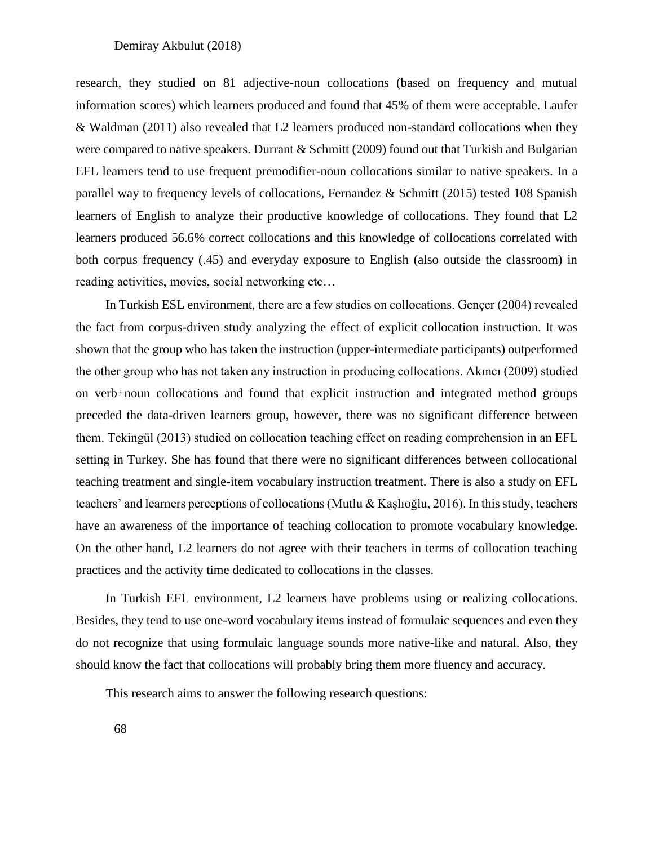research, they studied on 81 adjective-noun collocations (based on frequency and mutual information scores) which learners produced and found that 45% of them were acceptable. Laufer & Waldman (2011) also revealed that L2 learners produced non-standard collocations when they were compared to native speakers. Durrant & Schmitt (2009) found out that Turkish and Bulgarian EFL learners tend to use frequent premodifier-noun collocations similar to native speakers. In a parallel way to frequency levels of collocations, Fernandez & Schmitt (2015) tested 108 Spanish learners of English to analyze their productive knowledge of collocations. They found that L2 learners produced 56.6% correct collocations and this knowledge of collocations correlated with both corpus frequency (.45) and everyday exposure to English (also outside the classroom) in reading activities, movies, social networking etc…

In Turkish ESL environment, there are a few studies on collocations. Gençer (2004) revealed the fact from corpus-driven study analyzing the effect of explicit collocation instruction. It was shown that the group who has taken the instruction (upper-intermediate participants) outperformed the other group who has not taken any instruction in producing collocations. Akıncı (2009) studied on verb+noun collocations and found that explicit instruction and integrated method groups preceded the data-driven learners group, however, there was no significant difference between them. Tekingül (2013) studied on collocation teaching effect on reading comprehension in an EFL setting in Turkey. She has found that there were no significant differences between collocational teaching treatment and single-item vocabulary instruction treatment. There is also a study on EFL teachers' and learners perceptions of collocations (Mutlu & Kaşlıoğlu, 2016). In this study, teachers have an awareness of the importance of teaching collocation to promote vocabulary knowledge. On the other hand, L2 learners do not agree with their teachers in terms of collocation teaching practices and the activity time dedicated to collocations in the classes.

In Turkish EFL environment, L2 learners have problems using or realizing collocations. Besides, they tend to use one-word vocabulary items instead of formulaic sequences and even they do not recognize that using formulaic language sounds more native-like and natural. Also, they should know the fact that collocations will probably bring them more fluency and accuracy.

This research aims to answer the following research questions: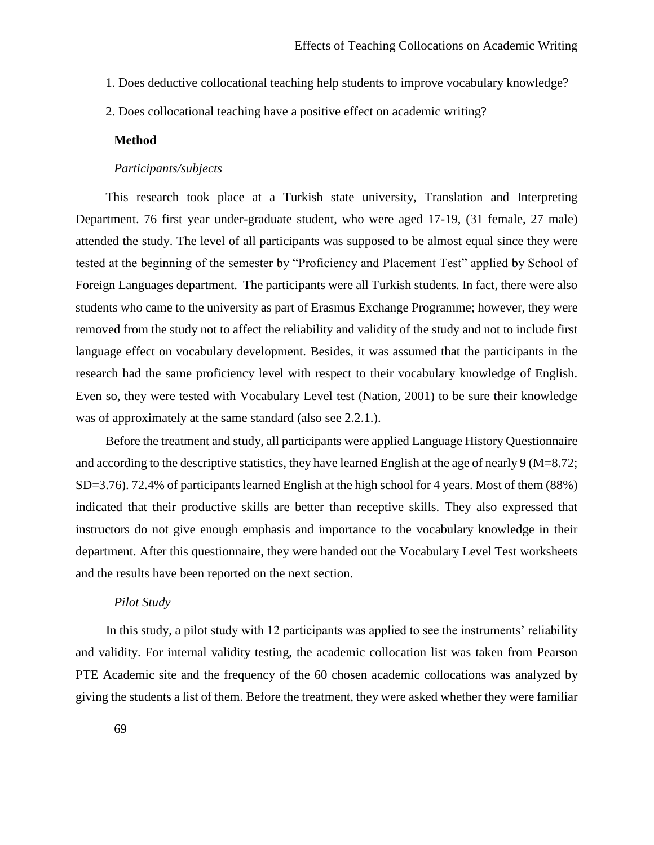- 1. Does deductive collocational teaching help students to improve vocabulary knowledge?
- 2. Does collocational teaching have a positive effect on academic writing?

### **Method**

### *Participants/subjects*

This research took place at a Turkish state university, Translation and Interpreting Department. 76 first year under-graduate student, who were aged 17-19, (31 female, 27 male) attended the study. The level of all participants was supposed to be almost equal since they were tested at the beginning of the semester by "Proficiency and Placement Test" applied by School of Foreign Languages department. The participants were all Turkish students. In fact, there were also students who came to the university as part of Erasmus Exchange Programme; however, they were removed from the study not to affect the reliability and validity of the study and not to include first language effect on vocabulary development. Besides, it was assumed that the participants in the research had the same proficiency level with respect to their vocabulary knowledge of English. Even so, they were tested with Vocabulary Level test (Nation, 2001) to be sure their knowledge was of approximately at the same standard (also see 2.2.1.).

Before the treatment and study, all participants were applied Language History Questionnaire and according to the descriptive statistics, they have learned English at the age of nearly 9 (M=8.72; SD=3.76). 72.4% of participants learned English at the high school for 4 years. Most of them (88%) indicated that their productive skills are better than receptive skills. They also expressed that instructors do not give enough emphasis and importance to the vocabulary knowledge in their department. After this questionnaire, they were handed out the Vocabulary Level Test worksheets and the results have been reported on the next section.

### *Pilot Study*

In this study, a pilot study with 12 participants was applied to see the instruments' reliability and validity. For internal validity testing, the academic collocation list was taken from Pearson PTE Academic site and the frequency of the 60 chosen academic collocations was analyzed by giving the students a list of them. Before the treatment, they were asked whether they were familiar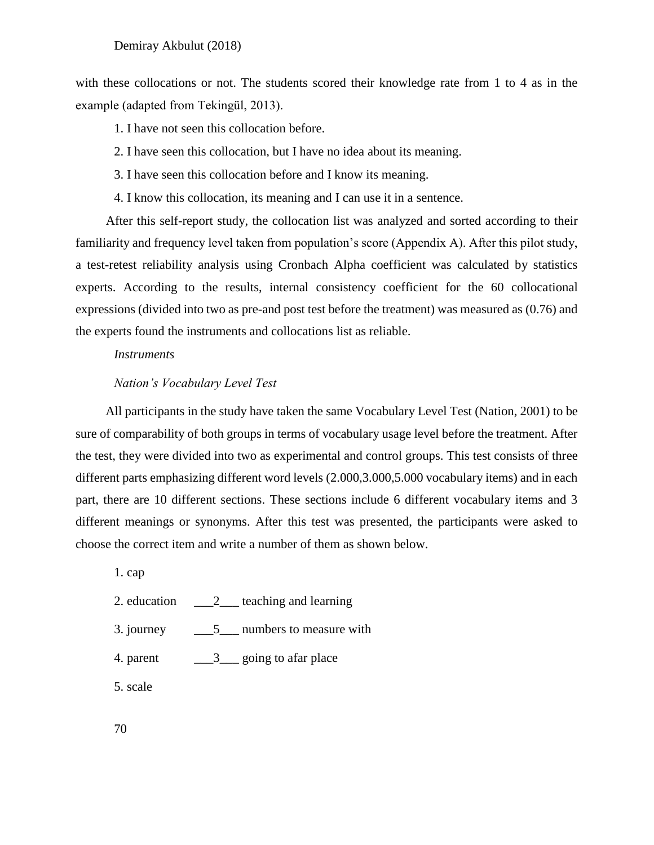with these collocations or not. The students scored their knowledge rate from 1 to 4 as in the example (adapted from Tekingül, 2013).

1. I have not seen this collocation before.

- 2. I have seen this collocation, but I have no idea about its meaning.
- 3. I have seen this collocation before and I know its meaning.
- 4. I know this collocation, its meaning and I can use it in a sentence.

After this self-report study, the collocation list was analyzed and sorted according to their familiarity and frequency level taken from population's score (Appendix A). After this pilot study, a test-retest reliability analysis using Cronbach Alpha coefficient was calculated by statistics experts. According to the results, internal consistency coefficient for the 60 collocational expressions (divided into two as pre-and post test before the treatment) was measured as (0.76) and the experts found the instruments and collocations list as reliable.

### *Instruments*

### *Nation's Vocabulary Level Test*

All participants in the study have taken the same Vocabulary Level Test (Nation, 2001) to be sure of comparability of both groups in terms of vocabulary usage level before the treatment. After the test, they were divided into two as experimental and control groups. This test consists of three different parts emphasizing different word levels (2.000,3.000,5.000 vocabulary items) and in each part, there are 10 different sections. These sections include 6 different vocabulary items and 3 different meanings or synonyms. After this test was presented, the participants were asked to choose the correct item and write a number of them as shown below.

1. cap

- 2. education  $\qquad \qquad 2$  teaching and learning
- 3. journey 5 numbers to measure with
- 4. parent  $\frac{3}{2}$  going to afar place

5. scale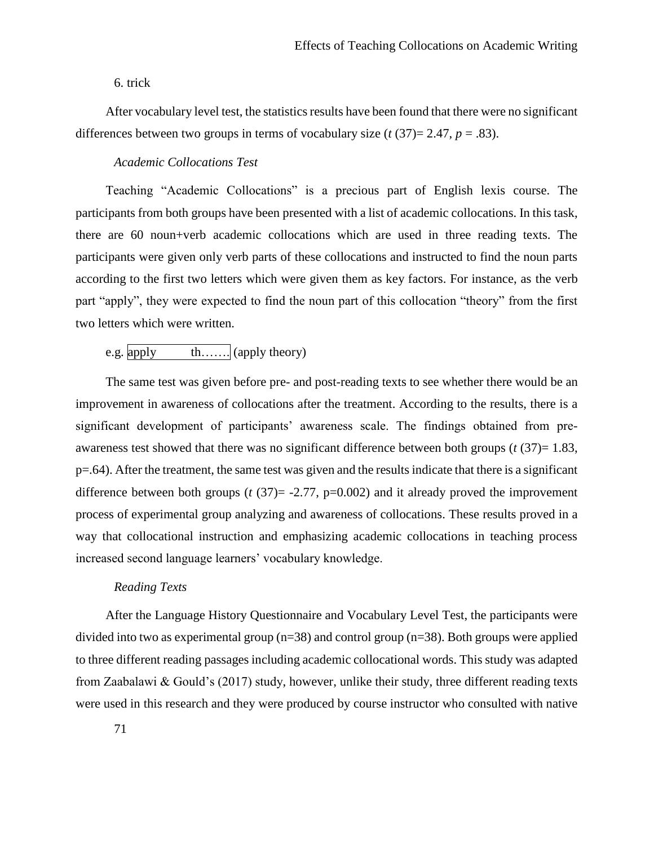### 6. trick

After vocabulary level test, the statistics results have been found that there were no significant differences between two groups in terms of vocabulary size  $(t(37)=2.47, p=.83)$ .

### *Academic Collocations Test*

Teaching "Academic Collocations" is a precious part of English lexis course. The participants from both groups have been presented with a list of academic collocations. In this task, there are 60 noun+verb academic collocations which are used in three reading texts. The participants were given only verb parts of these collocations and instructed to find the noun parts according to the first two letters which were given them as key factors. For instance, as the verb part "apply", they were expected to find the noun part of this collocation "theory" from the first two letters which were written.

# e.g.  $\boxed{\text{apply}}$  th……. (apply theory)

The same test was given before pre- and post-reading texts to see whether there would be an improvement in awareness of collocations after the treatment. According to the results, there is a significant development of participants' awareness scale. The findings obtained from preawareness test showed that there was no significant difference between both groups (*t* (37)= 1.83, p=.64). After the treatment, the same test was given and the results indicate that there is a significant difference between both groups  $(t (37)) = -2.77$ ,  $p=0.002$ ) and it already proved the improvement process of experimental group analyzing and awareness of collocations. These results proved in a way that collocational instruction and emphasizing academic collocations in teaching process increased second language learners' vocabulary knowledge.

# *Reading Texts*

After the Language History Questionnaire and Vocabulary Level Test, the participants were divided into two as experimental group (n=38) and control group (n=38). Both groups were applied to three different reading passages including academic collocational words. This study was adapted from Zaabalawi & Gould's (2017) study, however, unlike their study, three different reading texts were used in this research and they were produced by course instructor who consulted with native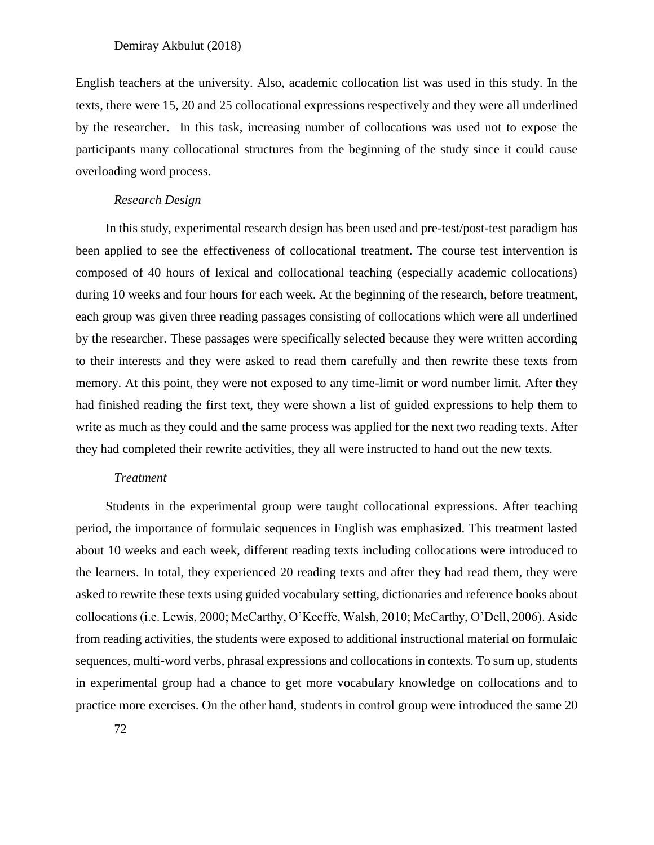English teachers at the university. Also, academic collocation list was used in this study. In the texts, there were 15, 20 and 25 collocational expressions respectively and they were all underlined by the researcher. In this task, increasing number of collocations was used not to expose the participants many collocational structures from the beginning of the study since it could cause overloading word process.

### *Research Design*

In this study, experimental research design has been used and pre-test/post-test paradigm has been applied to see the effectiveness of collocational treatment. The course test intervention is composed of 40 hours of lexical and collocational teaching (especially academic collocations) during 10 weeks and four hours for each week. At the beginning of the research, before treatment, each group was given three reading passages consisting of collocations which were all underlined by the researcher. These passages were specifically selected because they were written according to their interests and they were asked to read them carefully and then rewrite these texts from memory. At this point, they were not exposed to any time-limit or word number limit. After they had finished reading the first text, they were shown a list of guided expressions to help them to write as much as they could and the same process was applied for the next two reading texts. After they had completed their rewrite activities, they all were instructed to hand out the new texts.

### *Treatment*

Students in the experimental group were taught collocational expressions. After teaching period, the importance of formulaic sequences in English was emphasized. This treatment lasted about 10 weeks and each week, different reading texts including collocations were introduced to the learners. In total, they experienced 20 reading texts and after they had read them, they were asked to rewrite these texts using guided vocabulary setting, dictionaries and reference books about collocations (i.e. Lewis, 2000; McCarthy, O'Keeffe, Walsh, 2010; McCarthy, O'Dell, 2006). Aside from reading activities, the students were exposed to additional instructional material on formulaic sequences, multi-word verbs, phrasal expressions and collocations in contexts. To sum up, students in experimental group had a chance to get more vocabulary knowledge on collocations and to practice more exercises. On the other hand, students in control group were introduced the same 20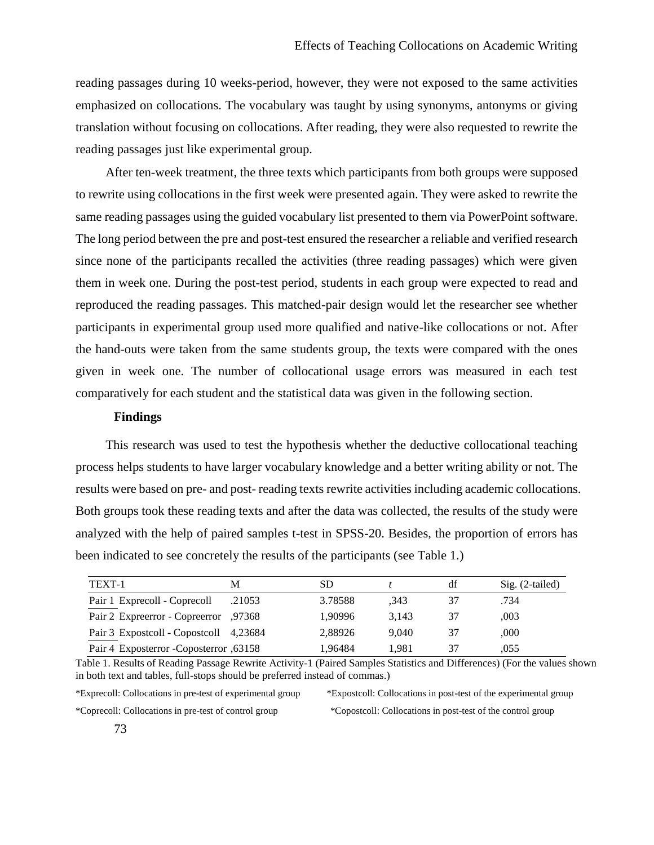reading passages during 10 weeks-period, however, they were not exposed to the same activities emphasized on collocations. The vocabulary was taught by using synonyms, antonyms or giving translation without focusing on collocations. After reading, they were also requested to rewrite the reading passages just like experimental group.

After ten-week treatment, the three texts which participants from both groups were supposed to rewrite using collocations in the first week were presented again. They were asked to rewrite the same reading passages using the guided vocabulary list presented to them via PowerPoint software. The long period between the pre and post-test ensured the researcher a reliable and verified research since none of the participants recalled the activities (three reading passages) which were given them in week one. During the post-test period, students in each group were expected to read and reproduced the reading passages. This matched-pair design would let the researcher see whether participants in experimental group used more qualified and native-like collocations or not. After the hand-outs were taken from the same students group, the texts were compared with the ones given in week one. The number of collocational usage errors was measured in each test comparatively for each student and the statistical data was given in the following section.

# **Findings**

This research was used to test the hypothesis whether the deductive collocational teaching process helps students to have larger vocabulary knowledge and a better writing ability or not. The results were based on pre- and post- reading texts rewrite activities including academic collocations. Both groups took these reading texts and after the data was collected, the results of the study were analyzed with the help of paired samples t-test in SPSS-20. Besides, the proportion of errors has been indicated to see concretely the results of the participants (see Table 1.)

| TEXT-1                                  | M      | SD      |       | df | $Sig. (2-tailed)$ |
|-----------------------------------------|--------|---------|-------|----|-------------------|
| Pair 1 Exprecoll - Coprecoll            | .21053 | 3.78588 | .343  |    | .734              |
| Pair 2 Expreerror - Copreerror ,97368   |        | 1.90996 | 3.143 | 37 | .003              |
| Pair 3 Expostcoll - Copostcoll 4,23684  |        | 2.88926 | 9.040 | 37 | .000              |
| Pair 4 Exposterror - Coposterror, 63158 |        | 1.96484 | 1.981 |    | .055              |

Table 1. Results of Reading Passage Rewrite Activity-1 (Paired Samples Statistics and Differences) (For the values shown in both text and tables, full-stops should be preferred instead of commas.)

\*Exprecoll: Collocations in pre-test of experimental group \*Expostcoll: Collocations in post-test of the experimental group \*Coprecoll: Collocations in pre-test of control group \*Copostcoll: Collocations in post-test of the control group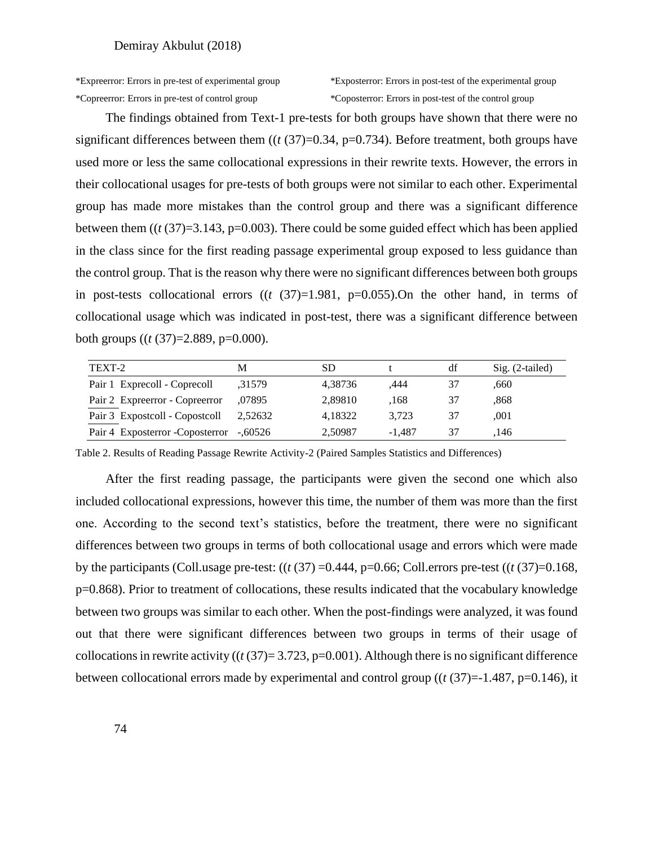\*Expreerror: Errors in pre-test of experimental group \*Exposterror: Errors in post-test of the experimental group

The findings obtained from Text-1 pre-tests for both groups have shown that there were no significant differences between them  $((t (37)=0.34, p=0.734)$ . Before treatment, both groups have used more or less the same collocational expressions in their rewrite texts. However, the errors in their collocational usages for pre-tests of both groups were not similar to each other. Experimental group has made more mistakes than the control group and there was a significant difference between them  $((t (37)=3.143, p=0.003)$ . There could be some guided effect which has been applied in the class since for the first reading passage experimental group exposed to less guidance than the control group. That is the reason why there were no significant differences between both groups in post-tests collocational errors  $((t (37)=1.981, p=0.055).$  On the other hand, in terms of collocational usage which was indicated in post-test, there was a significant difference between both groups ((*t* (37)=2.889, p=0.000).

| TEXT-2                                  | M       | SD      |          | df | $Sig. (2-tailed)$ |
|-----------------------------------------|---------|---------|----------|----|-------------------|
| Pair 1 Exprecoll - Coprecoll            | ,31579  | 4,38736 | .444     | 37 | .660              |
| Pair 2 Expreerror - Copreerror          | .07895  | 2,89810 | .168     | 37 | .868              |
| Pair 3 Expostcoll - Copostcoll          | 2,52632 | 4,18322 | 3.723    | 37 | .001              |
| Pair 4 Exposterror -Coposterror -,60526 |         | 2,50987 | $-1.487$ | 37 | .146              |

Table 2. Results of Reading Passage Rewrite Activity-2 (Paired Samples Statistics and Differences)

After the first reading passage, the participants were given the second one which also included collocational expressions, however this time, the number of them was more than the first one. According to the second text's statistics, before the treatment, there were no significant differences between two groups in terms of both collocational usage and errors which were made by the participants (Coll.usage pre-test:  $((t (37) = 0.444, p = 0.66;$  Coll.errors pre-test  $((t (37) = 0.168,$ p=0.868). Prior to treatment of collocations, these results indicated that the vocabulary knowledge between two groups was similar to each other. When the post-findings were analyzed, it was found out that there were significant differences between two groups in terms of their usage of collocations in rewrite activity ( $(t(37)=3.723, p=0.001)$ ). Although there is no significant difference between collocational errors made by experimental and control group ((*t* (37)=-1.487, p=0.146), it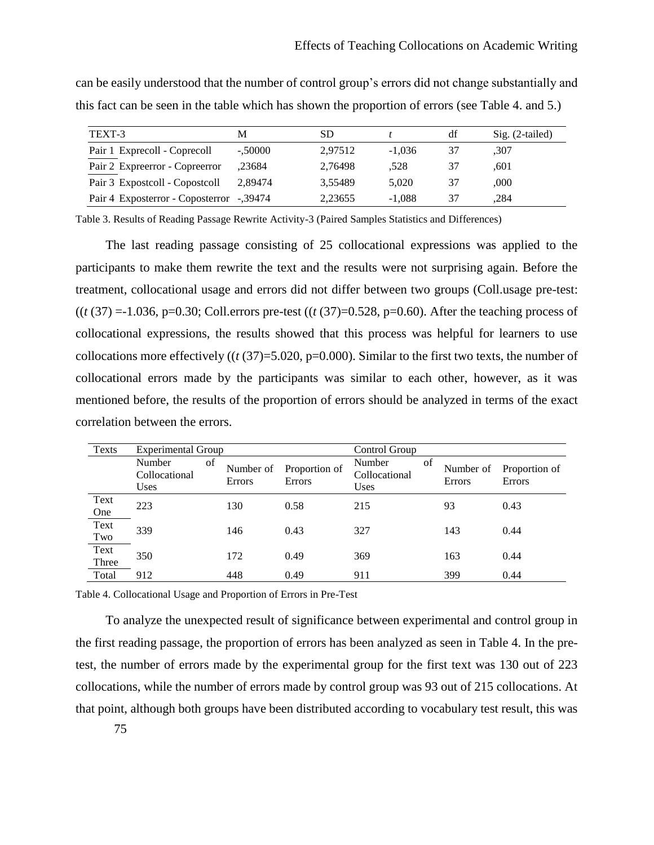| TEXT-3                                   | M         | SD      |          | df | $Sig. (2-tailed)$ |
|------------------------------------------|-----------|---------|----------|----|-------------------|
| Pair 1 Exprecoll - Coprecoll             | $-.50000$ | 2,97512 | $-1.036$ | 37 | ,307              |
| Pair 2 Expreement - Copreement           | .23684    | 2,76498 | .528     | 37 | .601              |
| Pair 3 Expostcoll - Copostcoll           | 2.89474   | 3.55489 | 5.020    | 37 | .000.             |
| Pair 4 Exposterror - Coposterror -,39474 |           | 2,23655 | $-1.088$ | 37 | .284              |

can be easily understood that the number of control group's errors did not change substantially and this fact can be seen in the table which has shown the proportion of errors (see Table 4. and 5.)

Table 3. Results of Reading Passage Rewrite Activity-3 (Paired Samples Statistics and Differences)

The last reading passage consisting of 25 collocational expressions was applied to the participants to make them rewrite the text and the results were not surprising again. Before the treatment, collocational usage and errors did not differ between two groups (Coll.usage pre-test: ((*t* (37) =-1.036, p=0.30; Coll.errors pre-test ((*t* (37)=0.528, p=0.60). After the teaching process of collocational expressions, the results showed that this process was helpful for learners to use collocations more effectively ((*t* (37)=5.020, p=0.000). Similar to the first two texts, the number of collocational errors made by the participants was similar to each other, however, as it was mentioned before, the results of the proportion of errors should be analyzed in terms of the exact correlation between the errors.

| Texts         | Experimental Group                     |                           |                                | Control Group                          |    |                     |                                |
|---------------|----------------------------------------|---------------------------|--------------------------------|----------------------------------------|----|---------------------|--------------------------------|
|               | Number<br>Collocational<br><b>Uses</b> | of<br>Number of<br>Errors | Proportion of<br><b>Errors</b> | Number<br>Collocational<br><b>Uses</b> | of | Number of<br>Errors | Proportion of<br><b>Errors</b> |
| Text<br>One   | 223                                    | 130                       | 0.58                           | 215                                    |    | 93                  | 0.43                           |
| Text<br>Two   | 339                                    | 146                       | 0.43                           | 327                                    |    | 143                 | 0.44                           |
| Text<br>Three | 350                                    | 172                       | 0.49                           | 369                                    |    | 163                 | 0.44                           |
| Total         | 912                                    | 448                       | 0.49                           | 911                                    |    | 399                 | 0.44                           |

Table 4. Collocational Usage and Proportion of Errors in Pre-Test

To analyze the unexpected result of significance between experimental and control group in the first reading passage, the proportion of errors has been analyzed as seen in Table 4. In the pretest, the number of errors made by the experimental group for the first text was 130 out of 223 collocations, while the number of errors made by control group was 93 out of 215 collocations. At that point, although both groups have been distributed according to vocabulary test result, this was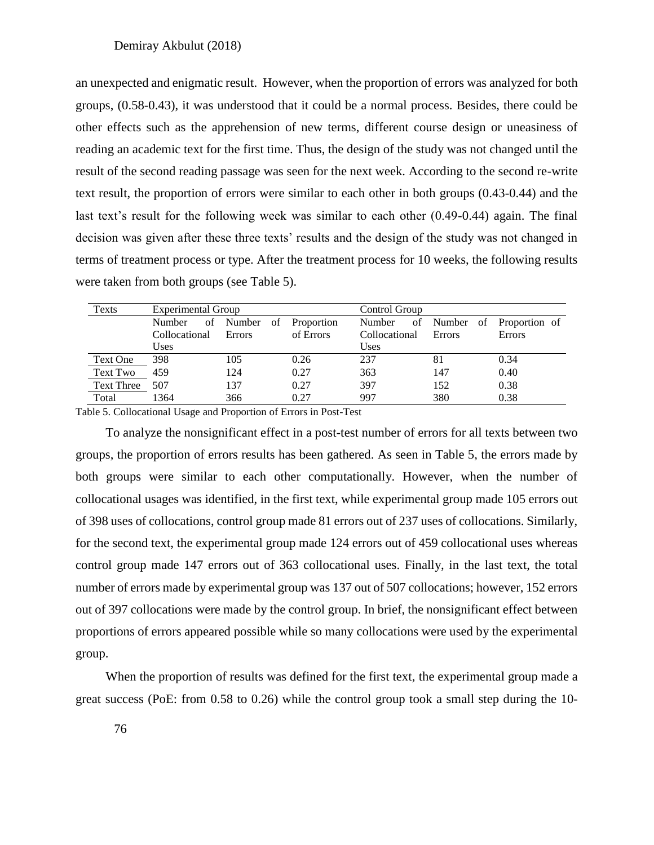an unexpected and enigmatic result. However, when the proportion of errors was analyzed for both groups, (0.58-0.43), it was understood that it could be a normal process. Besides, there could be other effects such as the apprehension of new terms, different course design or uneasiness of reading an academic text for the first time. Thus, the design of the study was not changed until the result of the second reading passage was seen for the next week. According to the second re-write text result, the proportion of errors were similar to each other in both groups (0.43-0.44) and the last text's result for the following week was similar to each other (0.49-0.44) again. The final decision was given after these three texts' results and the design of the study was not changed in terms of treatment process or type. After the treatment process for 10 weeks, the following results were taken from both groups (see Table 5).

| Texts             | Experimental Group |                         |           | Control Group |        |                            |  |
|-------------------|--------------------|-------------------------|-----------|---------------|--------|----------------------------|--|
|                   | Number             | of Number of Proportion |           | Number        |        | of Number of Proportion of |  |
|                   | Collocational      | Errors                  | of Errors | Collocational | Errors | Errors                     |  |
|                   | <b>Uses</b>        |                         |           | Uses          |        |                            |  |
| Text One          | 398                | 105                     | 0.26      | 237           | 81     | 0.34                       |  |
| Text Two          | 459                | 124                     | 0.27      | 363           | 147    | 0.40                       |  |
| <b>Text Three</b> | 507                | 137                     | 0.27      | 397           | 152    | 0.38                       |  |
| Total             | 1364               | 366                     | 0.27      | 997           | 380    | 0.38                       |  |

Table 5. Collocational Usage and Proportion of Errors in Post-Test

To analyze the nonsignificant effect in a post-test number of errors for all texts between two groups, the proportion of errors results has been gathered. As seen in Table 5, the errors made by both groups were similar to each other computationally. However, when the number of collocational usages was identified, in the first text, while experimental group made 105 errors out of 398 uses of collocations, control group made 81 errors out of 237 uses of collocations. Similarly, for the second text, the experimental group made 124 errors out of 459 collocational uses whereas control group made 147 errors out of 363 collocational uses. Finally, in the last text, the total number of errors made by experimental group was 137 out of 507 collocations; however, 152 errors out of 397 collocations were made by the control group. In brief, the nonsignificant effect between proportions of errors appeared possible while so many collocations were used by the experimental group.

When the proportion of results was defined for the first text, the experimental group made a great success (PoE: from 0.58 to 0.26) while the control group took a small step during the 10-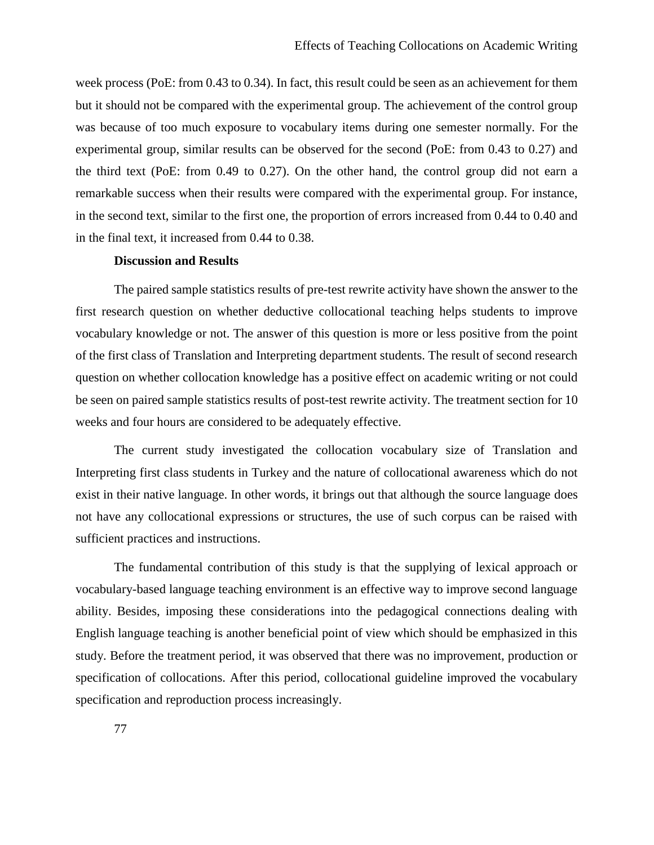week process (PoE: from 0.43 to 0.34). In fact, this result could be seen as an achievement for them but it should not be compared with the experimental group. The achievement of the control group was because of too much exposure to vocabulary items during one semester normally. For the experimental group, similar results can be observed for the second (PoE: from 0.43 to 0.27) and the third text (PoE: from 0.49 to 0.27). On the other hand, the control group did not earn a remarkable success when their results were compared with the experimental group. For instance, in the second text, similar to the first one, the proportion of errors increased from 0.44 to 0.40 and in the final text, it increased from 0.44 to 0.38.

### **Discussion and Results**

The paired sample statistics results of pre-test rewrite activity have shown the answer to the first research question on whether deductive collocational teaching helps students to improve vocabulary knowledge or not. The answer of this question is more or less positive from the point of the first class of Translation and Interpreting department students. The result of second research question on whether collocation knowledge has a positive effect on academic writing or not could be seen on paired sample statistics results of post-test rewrite activity. The treatment section for 10 weeks and four hours are considered to be adequately effective.

The current study investigated the collocation vocabulary size of Translation and Interpreting first class students in Turkey and the nature of collocational awareness which do not exist in their native language. In other words, it brings out that although the source language does not have any collocational expressions or structures, the use of such corpus can be raised with sufficient practices and instructions.

The fundamental contribution of this study is that the supplying of lexical approach or vocabulary-based language teaching environment is an effective way to improve second language ability. Besides, imposing these considerations into the pedagogical connections dealing with English language teaching is another beneficial point of view which should be emphasized in this study. Before the treatment period, it was observed that there was no improvement, production or specification of collocations. After this period, collocational guideline improved the vocabulary specification and reproduction process increasingly.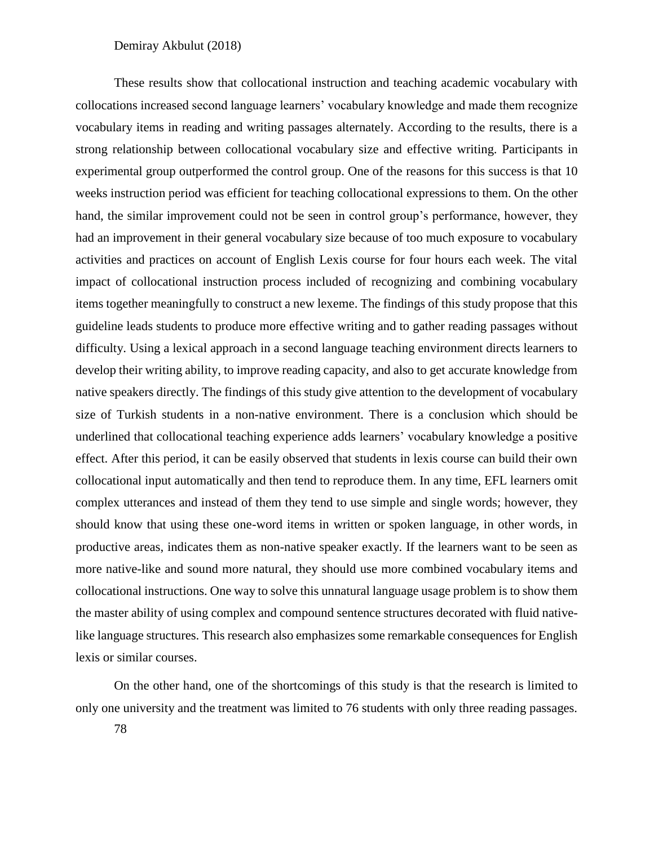These results show that collocational instruction and teaching academic vocabulary with collocations increased second language learners' vocabulary knowledge and made them recognize vocabulary items in reading and writing passages alternately. According to the results, there is a strong relationship between collocational vocabulary size and effective writing. Participants in experimental group outperformed the control group. One of the reasons for this success is that 10 weeks instruction period was efficient for teaching collocational expressions to them. On the other hand, the similar improvement could not be seen in control group's performance, however, they had an improvement in their general vocabulary size because of too much exposure to vocabulary activities and practices on account of English Lexis course for four hours each week. The vital impact of collocational instruction process included of recognizing and combining vocabulary items together meaningfully to construct a new lexeme. The findings of this study propose that this guideline leads students to produce more effective writing and to gather reading passages without difficulty. Using a lexical approach in a second language teaching environment directs learners to develop their writing ability, to improve reading capacity, and also to get accurate knowledge from native speakers directly. The findings of this study give attention to the development of vocabulary size of Turkish students in a non-native environment. There is a conclusion which should be underlined that collocational teaching experience adds learners' vocabulary knowledge a positive effect. After this period, it can be easily observed that students in lexis course can build their own collocational input automatically and then tend to reproduce them. In any time, EFL learners omit complex utterances and instead of them they tend to use simple and single words; however, they should know that using these one-word items in written or spoken language, in other words, in productive areas, indicates them as non-native speaker exactly. If the learners want to be seen as more native-like and sound more natural, they should use more combined vocabulary items and collocational instructions. One way to solve this unnatural language usage problem is to show them the master ability of using complex and compound sentence structures decorated with fluid nativelike language structures. This research also emphasizes some remarkable consequences for English lexis or similar courses.

On the other hand, one of the shortcomings of this study is that the research is limited to only one university and the treatment was limited to 76 students with only three reading passages.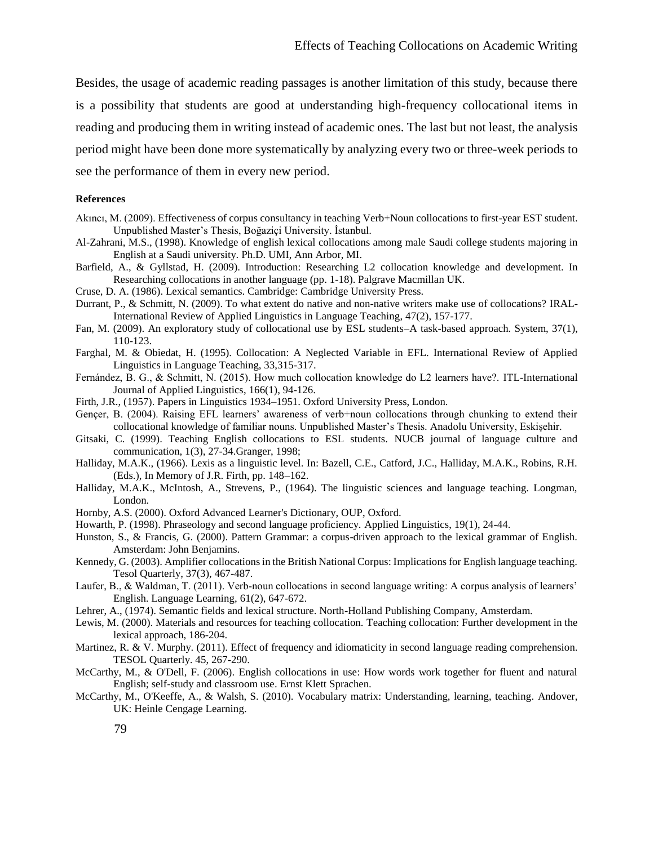Besides, the usage of academic reading passages is another limitation of this study, because there is a possibility that students are good at understanding high-frequency collocational items in reading and producing them in writing instead of academic ones. The last but not least, the analysis period might have been done more systematically by analyzing every two or three-week periods to see the performance of them in every new period.

### **References**

- Akıncı, M. (2009). Effectiveness of corpus consultancy in teaching Verb+Noun collocations to first-year EST student. Unpublished Master's Thesis, Boğaziçi University. İstanbul.
- Al-Zahrani, M.S., (1998). Knowledge of english lexical collocations among male Saudi college students majoring in English at a Saudi university. Ph.D. UMI, Ann Arbor, MI.
- Barfield, A., & Gyllstad, H. (2009). Introduction: Researching L2 collocation knowledge and development. In Researching collocations in another language (pp. 1-18). Palgrave Macmillan UK.
- Cruse, D. A. (1986). Lexical semantics. Cambridge: Cambridge University Press.
- Durrant, P., & Schmitt, N. (2009). To what extent do native and non-native writers make use of collocations? IRAL-International Review of Applied Linguistics in Language Teaching, 47(2), 157-177.
- Fan, M. (2009). An exploratory study of collocational use by ESL students–A task-based approach. System, 37(1), 110-123.
- Farghal, M. & Obiedat, H. (1995). Collocation: A Neglected Variable in EFL. International Review of Applied Linguistics in Language Teaching, 33,315-317.
- Fernández, B. G., & Schmitt, N. (2015). How much collocation knowledge do L2 learners have?. ITL-International Journal of Applied Linguistics, 166(1), 94-126.
- Firth, J.R., (1957). Papers in Linguistics 1934–1951. Oxford University Press, London.
- Gençer, B. (2004). Raising EFL learners' awareness of verb+noun collocations through chunking to extend their collocational knowledge of familiar nouns. Unpublished Master's Thesis. Anadolu University, Eskişehir.
- Gitsaki, C. (1999). Teaching English collocations to ESL students. NUCB journal of language culture and communication, 1(3), 27-34.Granger, 1998;
- Halliday, M.A.K., (1966). Lexis as a linguistic level. In: Bazell, C.E., Catford, J.C., Halliday, M.A.K., Robins, R.H. (Eds.), In Memory of J.R. Firth, pp. 148–162.
- Halliday, M.A.K., McIntosh, A., Strevens, P., (1964). The linguistic sciences and language teaching. Longman, London.
- Hornby, A.S. (2000). Oxford Advanced Learner's Dictionary, OUP, Oxford.
- Howarth, P. (1998). Phraseology and second language proficiency. Applied Linguistics, 19(1), 24-44.
- Hunston, S., & Francis, G. (2000). Pattern Grammar: a corpus-driven approach to the lexical grammar of English. Amsterdam: John Benjamins.
- Kennedy, G. (2003). Amplifier collocations in the British National Corpus: Implications for English language teaching. Tesol Quarterly, 37(3), 467-487.
- Laufer, B., & Waldman, T. (2011). Verb-noun collocations in second language writing: A corpus analysis of learners' English. Language Learning, 61(2), 647-672.
- Lehrer, A., (1974). Semantic fields and lexical structure. North-Holland Publishing Company, Amsterdam.
- Lewis, M. (2000). Materials and resources for teaching collocation. Teaching collocation: Further development in the lexical approach, 186-204.
- Martinez, R. & V. Murphy. (2011). Effect of frequency and idiomaticity in second language reading comprehension. TESOL Quarterly. 45, 267-290.
- McCarthy, M., & O'Dell, F. (2006). English collocations in use: How words work together for fluent and natural English; self-study and classroom use. Ernst Klett Sprachen.
- McCarthy, M., O'Keeffe, A., & Walsh, S. (2010). Vocabulary matrix: Understanding, learning, teaching. Andover, UK: Heinle Cengage Learning.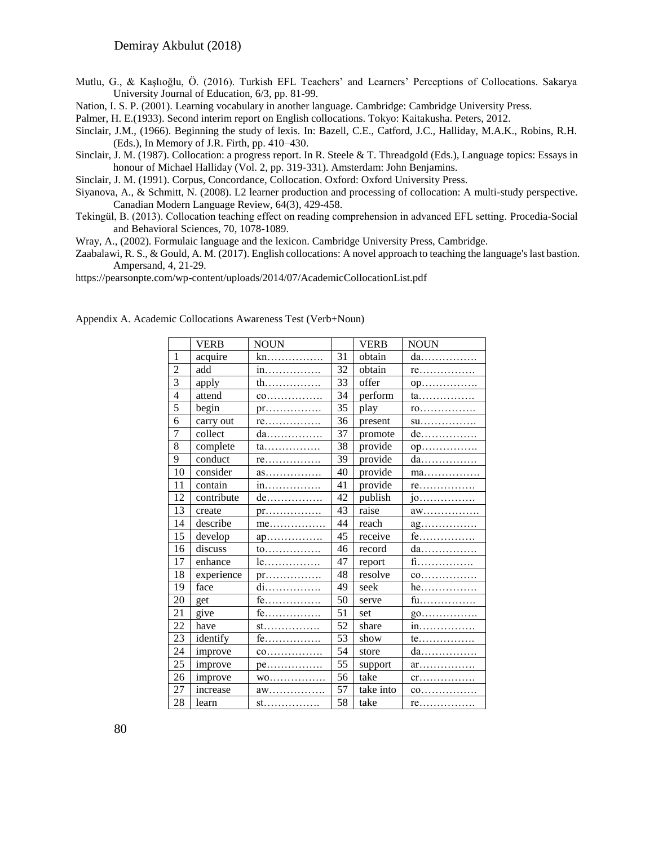Mutlu, G., & Kaşlıoğlu, Ö. (2016). Turkish EFL Teachers' and Learners' Perceptions of Collocations. Sakarya University Journal of Education, 6/3, pp. 81-99.

Nation, I. S. P. (2001). Learning vocabulary in another language. Cambridge: Cambridge University Press.

- Palmer, H. E.(1933). Second interim report on English collocations. Tokyo: Kaitakusha. Peters, 2012.
- Sinclair, J.M., (1966). Beginning the study of lexis. In: Bazell, C.E., Catford, J.C., Halliday, M.A.K., Robins, R.H. (Eds.), In Memory of J.R. Firth, pp. 410–430.
- Sinclair, J. M. (1987). Collocation: a progress report. In R. Steele & T. Threadgold (Eds.), Language topics: Essays in honour of Michael Halliday (Vol. 2, pp. 319-331). Amsterdam: John Benjamins.
- Sinclair, J. M. (1991). Corpus, Concordance, Collocation. Oxford: Oxford University Press.
- Siyanova, A., & Schmitt, N. (2008). L2 learner production and processing of collocation: A multi-study perspective. Canadian Modern Language Review, 64(3), 429-458.
- Tekingül, B. (2013). Collocation teaching effect on reading comprehension in advanced EFL setting. Procedia-Social and Behavioral Sciences, 70, 1078-1089.

Wray, A., (2002). Formulaic language and the lexicon. Cambridge University Press, Cambridge.

Zaabalawi, R. S., & Gould, A. M. (2017). English collocations: A novel approach to teaching the language's last bastion. Ampersand, 4, 21-29.

https://pearsonpte.com/wp-content/uploads/2014/07/AcademicCollocationList.pdf

|                | <b>VERB</b> | <b>NOUN</b>                    |    | <b>VERB</b> | <b>NOUN</b>                              |
|----------------|-------------|--------------------------------|----|-------------|------------------------------------------|
| 1              | acquire     | kn.                            | 31 | obtain      | da                                       |
| $\overline{2}$ | add         | in                             | 32 | obtain      | $re$                                     |
| 3              | apply       | th                             | 33 | offer       | op                                       |
| 4              | attend      | $co$                           | 34 | perform     | ta                                       |
| 5              | begin       | $pr$                           | 35 | play        | $r_{0}, \ldots, \ldots, \ldots$          |
| 6              | carry out   | re                             | 36 | present     | su                                       |
| 7              | collect     | da                             | 37 | promote     | $de$                                     |
| 8              | complete    | ta                             | 38 | provide     | 0p                                       |
| 9              | conduct     | re                             | 39 | provide     | da                                       |
| 10             | consider    | $as \ldots \ldots \ldots$      | 40 | provide     | ma                                       |
| 11             | contain     | in                             | 41 | provide     | re                                       |
| 12             | contribute  | de                             | 42 | publish     | $10$                                     |
| 13             | create      | $pr$                           | 43 | raise       | aw                                       |
| 14             | describe    | $me$                           | 44 | reach       | ag                                       |
| 15             | develop     | $ap$                           | 45 | receive     | fe                                       |
| 16             | discuss     | to                             | 46 | record      | da                                       |
| 17             | enhance     | le                             | 47 | report      | $f_1$                                    |
| 18             | experience  | pr                             | 48 | resolve     | $co$                                     |
| 19             | face        | di                             | 49 | seek        | $he$                                     |
| 20             | get         | fe                             | 50 | serve       | fu                                       |
| 21             | give        | fe                             | 51 | set         | go                                       |
| 22             | have        | st.                            | 52 | share       | in.                                      |
| 23             | identify    | $fe$                           | 53 | show        | te                                       |
| 24             | improve     | $c_0, \ldots, \ldots, \ldots,$ | 54 | store       | da                                       |
| 25             | improve     | $pe$                           | 55 | support     | $ar_{1}, \ldots, s_{n}, \ldots, s_{n}$   |
| 26             | improve     | WO                             | 56 | take        | $cr. \ldots \ldots \ldots \ldots \ldots$ |
| 27             | increase    | aw                             | 57 | take into   | co                                       |
| 28             | learn       | st.                            | 58 | take        | re                                       |

Appendix A. Academic Collocations Awareness Test (Verb+Noun)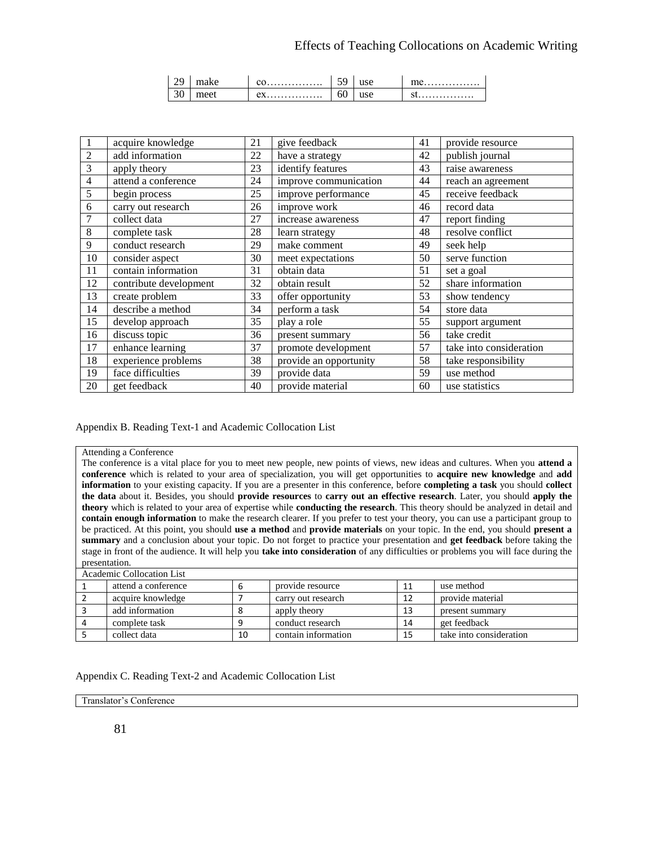| $\overline{\phantom{a}}$ |    | .               | -  |     | . |
|--------------------------|----|-----------------|----|-----|---|
| ◡◡                       | ۵Δ | $\Delta V$<br>. | 00 | uəc | . |

|                | acquire knowledge      | 21 | give feedback          | 41 | provide resource        |
|----------------|------------------------|----|------------------------|----|-------------------------|
| $\overline{2}$ | add information        | 22 | have a strategy        | 42 | publish journal         |
| 3              | apply theory           | 23 | identify features      | 43 | raise awareness         |
| $\overline{4}$ | attend a conference    | 24 | improve communication  | 44 | reach an agreement      |
| 5              | begin process          | 25 | improve performance    | 45 | receive feedback        |
| 6              | carry out research     | 26 | improve work           | 46 | record data             |
| 7              | collect data           | 27 | increase awareness     | 47 | report finding          |
| 8              | complete task          | 28 | learn strategy         | 48 | resolve conflict        |
| 9              | conduct research       | 29 | make comment           | 49 | seek help               |
| 10             | consider aspect        | 30 | meet expectations      | 50 | serve function          |
| 11             | contain information    | 31 | obtain data            | 51 | set a goal              |
| 12             | contribute development | 32 | obtain result          | 52 | share information       |
| 13             | create problem         | 33 | offer opportunity      | 53 | show tendency           |
| 14             | describe a method      | 34 | perform a task         | 54 | store data              |
| 15             | develop approach       | 35 | play a role            | 55 | support argument        |
| 16             | discuss topic          | 36 | present summary        | 56 | take credit             |
| 17             | enhance learning       | 37 | promote development    | 57 | take into consideration |
| 18             | experience problems    | 38 | provide an opportunity | 58 | take responsibility     |
| 19             | face difficulties      | 39 | provide data           | 59 | use method              |
| 20             | get feedback           | 40 | provide material       | 60 | use statistics          |

Appendix B. Reading Text-1 and Academic Collocation List

#### Attending a Conference

The conference is a vital place for you to meet new people, new points of views, new ideas and cultures. When you **attend a conference** which is related to your area of specialization, you will get opportunities to **acquire new knowledge** and **add information** to your existing capacity. If you are a presenter in this conference, before **completing a task** you should **collect the data** about it. Besides, you should **provide resources** to **carry out an effective research**. Later, you should **apply the theory** which is related to your area of expertise while **conducting the research**. This theory should be analyzed in detail and **contain enough information** to make the research clearer. If you prefer to test your theory, you can use a participant group to be practiced. At this point, you should **use a method** and **provide materials** on your topic. In the end, you should **present a summary** and a conclusion about your topic. Do not forget to practice your presentation and **get feedback** before taking the stage in front of the audience. It will help you **take into consideration** of any difficulties or problems you will face during the presentation.

| Academic Collocation List |    |                     |    |                         |  |  |  |  |  |
|---------------------------|----|---------------------|----|-------------------------|--|--|--|--|--|
| attend a conference       | ь  | provide resource    | 11 | use method              |  |  |  |  |  |
| acquire knowledge         |    | carry out research  | 12 | provide material        |  |  |  |  |  |
| add information           | 8  | apply theory        | 13 | present summary         |  |  |  |  |  |
| complete task             | q  | conduct research    | 14 | get feedback            |  |  |  |  |  |
| collect data              | 10 | contain information | 15 | take into consideration |  |  |  |  |  |

#### Appendix C. Reading Text-2 and Academic Collocation List

Translator's Conference